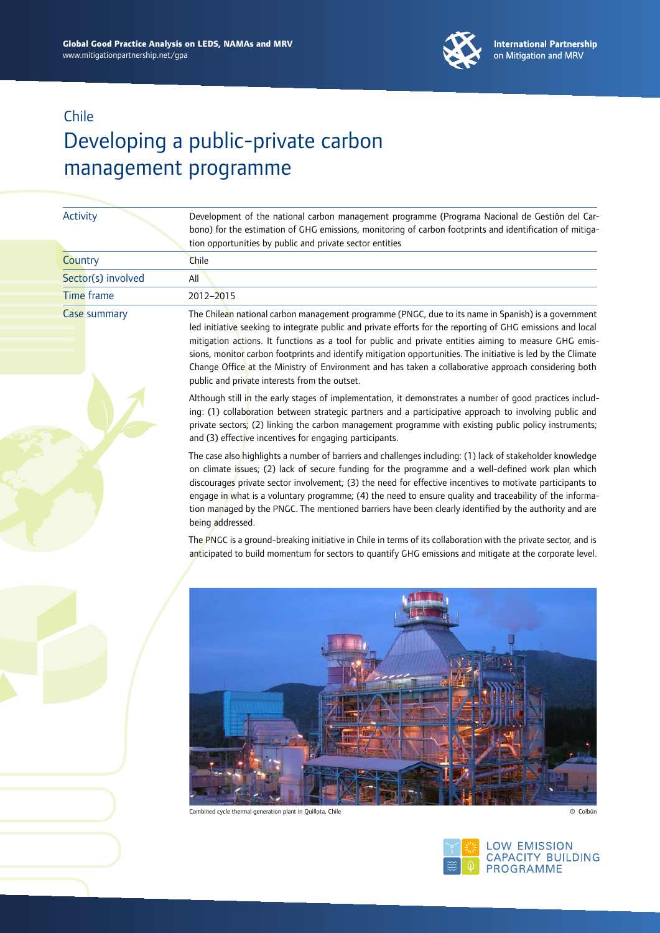

|  | <b>Activity</b>    | Development of the national carbon management programme (Programa Nacional de Gestión del Car-<br>bono) for the estimation of GHG emissions, monitoring of carbon footprints and identification of mitiga-<br>tion opportunities by public and private sector entities                                                                                                                                                                                                                                                                                                                                |
|--|--------------------|-------------------------------------------------------------------------------------------------------------------------------------------------------------------------------------------------------------------------------------------------------------------------------------------------------------------------------------------------------------------------------------------------------------------------------------------------------------------------------------------------------------------------------------------------------------------------------------------------------|
|  | Country            | Chile                                                                                                                                                                                                                                                                                                                                                                                                                                                                                                                                                                                                 |
|  | Sector(s) involved | All                                                                                                                                                                                                                                                                                                                                                                                                                                                                                                                                                                                                   |
|  | <b>Time</b> frame  | 2012-2015                                                                                                                                                                                                                                                                                                                                                                                                                                                                                                                                                                                             |
|  | Case summary       | The Chilean national carbon management programme (PNGC, due to its name in Spanish) is a government<br>led initiative seeking to integrate public and private efforts for the reporting of GHG emissions and local<br>mitigation actions. It functions as a tool for public and private entities aiming to measure GHG emis-<br>sions, monitor carbon footprints and identify mitigation opportunities. The initiative is led by the Climate<br>Change Office at the Ministry of Environment and has taken a collaborative approach considering both<br>public and private interests from the outset. |
|  |                    | Although still in the early stages of implementation, it demonstrates a number of good practices includ-<br>ing: (1) collaboration between strategic partners and a participative approach to involving public and<br>private sectors; (2) linking the carbon management programme with existing public policy instruments;<br>and (3) effective incentives for engaging participants.                                                                                                                                                                                                                |
|  |                    | The case also highlights a number of barriers and challenges including: (1) lack of stakeholder knowledge<br>on climate issues; (2) lack of secure funding for the programme and a well-defined work plan which<br>discourages private sector involvement; (3) the need for effective incentives to motivate participants to<br>engage in what is a voluntary programme; (4) the need to ensure quality and traceability of the informa-<br>tion managed by the PNGC. The mentioned barriers have been clearly identified by the authority and are<br>being addressed.                                |
|  |                    | The PNGC is a ground-breaking initiative in Chile in terms of its collaboration with the private sector, and is<br>anticipated to build momentum for sectors to quantify GHG emissions and mitigate at the corporate level.                                                                                                                                                                                                                                                                                                                                                                           |
|  |                    | Combined cycle thermal generation plant in Quillota, Chile<br>© Colbún                                                                                                                                                                                                                                                                                                                                                                                                                                                                                                                                |
|  |                    | `∘ି <mark>୬′≗</mark> ା LOW EMISSION                                                                                                                                                                                                                                                                                                                                                                                                                                                                                                                                                                   |

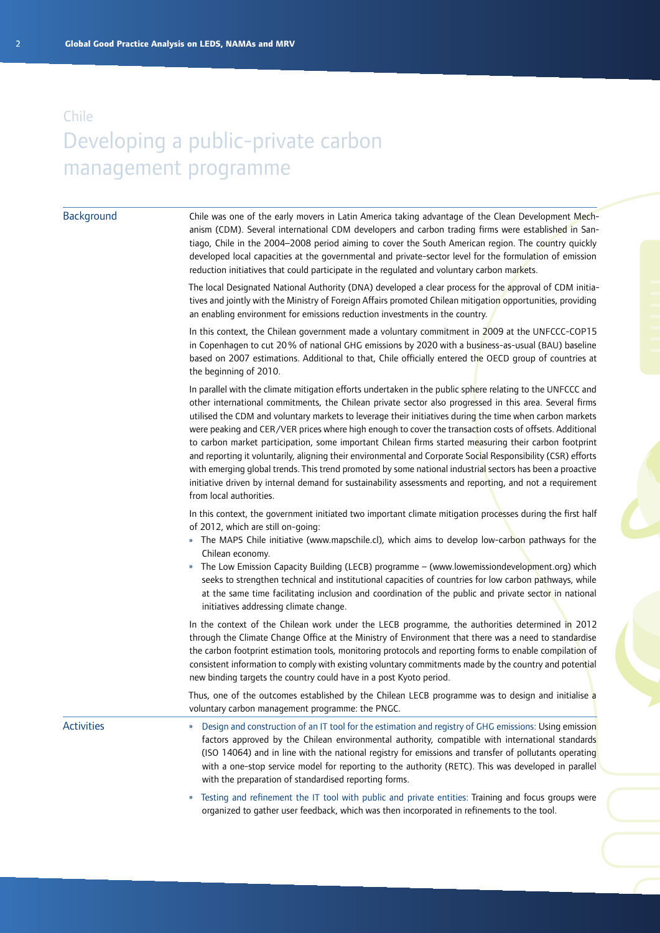#### **Background**

Chile was one of the early movers in Latin America taking advantage of the Clean Development Mechanism (CDM). Several international CDM developers and carbon trading firms were established in Santiago, Chile in the 2004–2008 period aiming to cover the South American region. The country quickly developed local capacities at the governmental and private-sector level for the formulation of emission reduction initiatives that could participate in the regulated and voluntary carbon markets.

The local Designated National Authority (DNA) developed a clear process for the approval of CDM initiatives and jointly with the Ministry of Foreign Affairs promoted Chilean mitigation opportunities, providing an enabling environment for emissions reduction investments in the country.

In this context, the Chilean government made a voluntary commitment in 2009 at the UNFCCC-COP15 in Copenhagen to cut 20% of national GHG emissions by 2020 with a business-as-usual (BAU) baseline based on 2007 estimations. Additional to that, Chile officially entered the OECD group of countries at the beginning of 2010.

In parallel with the climate mitigation efforts undertaken in the public sphere relating to the UNFCCC and other international commitments, the Chilean private sector also progressed in this area. Several firms utilised the CDM and voluntary markets to leverage their initiatives during the time when carbon markets were peaking and CER/VER prices where high enough to cover the transaction costs of offsets. Additional to carbon market participation, some important Chilean firms started measuring their carbon footprint and reporting it voluntarily, aligning their environmental and Corporate Social Responsibility (CSR) efforts with emerging global trends. This trend promoted by some national industrial sectors has been a proactive initiative driven by internal demand for sustainability assessments and reporting, and not a requirement from local authorities.

In this context, the government initiated two important climate mitigation processes during the first half of 2012, which are still on-going:

- » The MAPS Chile initiative ([www.mapschile.cl\)](www.mapschile.cl), which aims to develop low-carbon pathways for the Chilean economy.
- » The Low Emission Capacity Building (LECB) programme (<www.lowemissiondevelopment.org>) which seeks to strengthen technical and institutional capacities of countries for low carbon pathways, while at the same time facilitating inclusion and coordination of the public and private sector in national initiatives addressing climate change.

In the context of the Chilean work under the LECB programme, the authorities determined in 2012 through the Climate Change Office at the Ministry of Environment that there was a need to standardise the carbon footprint estimation tools, monitoring protocols and reporting forms to enable compilation of consistent information to comply with existing voluntary commitments made by the country and potential new binding targets the country could have in a post Kyoto period.

Thus, one of the outcomes established by the Chilean LECB programme was to design and initialise a voluntary carbon management programme: the PNGC.

**Activities** 

- » Design and construction of an IT tool for the estimation and registry of GHG emissions: Using emission factors approved by the Chilean environmental authority, compatible with international standards (ISO 14064) and in line with the national registry for emissions and transfer of pollutants operating with a one-stop service model for reporting to the authority (RETC). This was developed in parallel with the preparation of standardised reporting forms.
- » Testing and refinement the IT tool with public and private entities: Training and focus groups were organized to gather user feedback, which was then incorporated in refinements to the tool.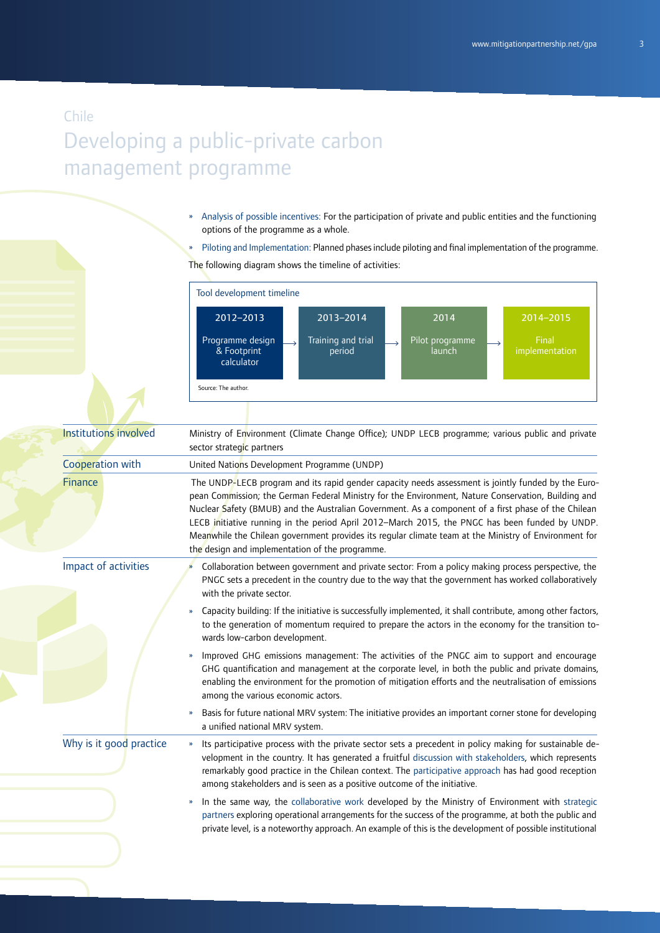- » Analysis of possible incentives: For the participation of private and public entities and the functioning options of the programme as a whole.
- » Piloting and Implementation: Planned phases include piloting and final implementation of the programme. The following diagram shows the timeline of activities:

|                         | Tool development timeline                                                                                                                                                                                                                                                                                                                                                                                                                                                                                                                                                       |
|-------------------------|---------------------------------------------------------------------------------------------------------------------------------------------------------------------------------------------------------------------------------------------------------------------------------------------------------------------------------------------------------------------------------------------------------------------------------------------------------------------------------------------------------------------------------------------------------------------------------|
|                         | 2012-2013<br>2014-2015<br>2013-2014<br>2014<br>Training and trial<br>Programme design<br>Pilot programme<br>Final<br>& Footprint<br>period<br>implementation<br>launch<br>calculator<br>Source: The author.                                                                                                                                                                                                                                                                                                                                                                     |
| Institutions involved   | Ministry of Environment (Climate Change Office); UNDP LECB programme; various public and private<br>sector strategic partners                                                                                                                                                                                                                                                                                                                                                                                                                                                   |
| Cooperation with        | United Nations Development Programme (UNDP)                                                                                                                                                                                                                                                                                                                                                                                                                                                                                                                                     |
| <b>Finance</b>          | The UNDP-LECB program and its rapid gender capacity needs assessment is jointly funded by the Euro-<br>pean Commission; the German Federal Ministry for the Environment, Nature Conservation, Building and<br>Nuclear Safety (BMUB) and the Australian Government. As a component of a first phase of the Chilean<br>LECB initiative running in the period April 2012-March 2015, the PNGC has been funded by UNDP.<br>Meanwhile the Chilean government provides its regular climate team at the Ministry of Environment for<br>the design and implementation of the programme. |
| Impact of activities    | Collaboration between government and private sector: From a policy making process perspective, the<br>PNGC sets a precedent in the country due to the way that the government has worked collaboratively<br>with the private sector.                                                                                                                                                                                                                                                                                                                                            |
|                         | Capacity building: If the initiative is successfully implemented, it shall contribute, among other factors,<br>$\boldsymbol{\mathcal{V}}$<br>to the generation of momentum required to prepare the actors in the economy for the transition to-<br>wards low-carbon development.                                                                                                                                                                                                                                                                                                |
|                         | Improved GHG emissions management: The activities of the PNGC aim to support and encourage<br>$\boldsymbol{\mathcal{V}}$<br>GHG quantification and management at the corporate level, in both the public and private domains,<br>enabling the environment for the promotion of mitigation efforts and the neutralisation of emissions<br>among the various economic actors.                                                                                                                                                                                                     |
|                         | Basis for future national MRV system: The initiative provides an important corner stone for developing<br>$\boldsymbol{\mathcal{V}}$<br>a unified national MRV system.                                                                                                                                                                                                                                                                                                                                                                                                          |
| Why is it good practice | Its participative process with the private sector sets a precedent in policy making for sustainable de-<br>$\boldsymbol{\mathcal{V}}$<br>velopment in the country. It has generated a fruitful discussion with stakeholders, which represents<br>remarkably good practice in the Chilean context. The participative approach has had good reception<br>among stakeholders and is seen as a positive outcome of the initiative.                                                                                                                                                  |
|                         | In the same way, the collaborative work developed by the Ministry of Environment with strategic<br>»<br>partners exploring operational arrangements for the success of the programme, at both the public and<br>private level, is a noteworthy approach. An example of this is the development of possible institutional                                                                                                                                                                                                                                                        |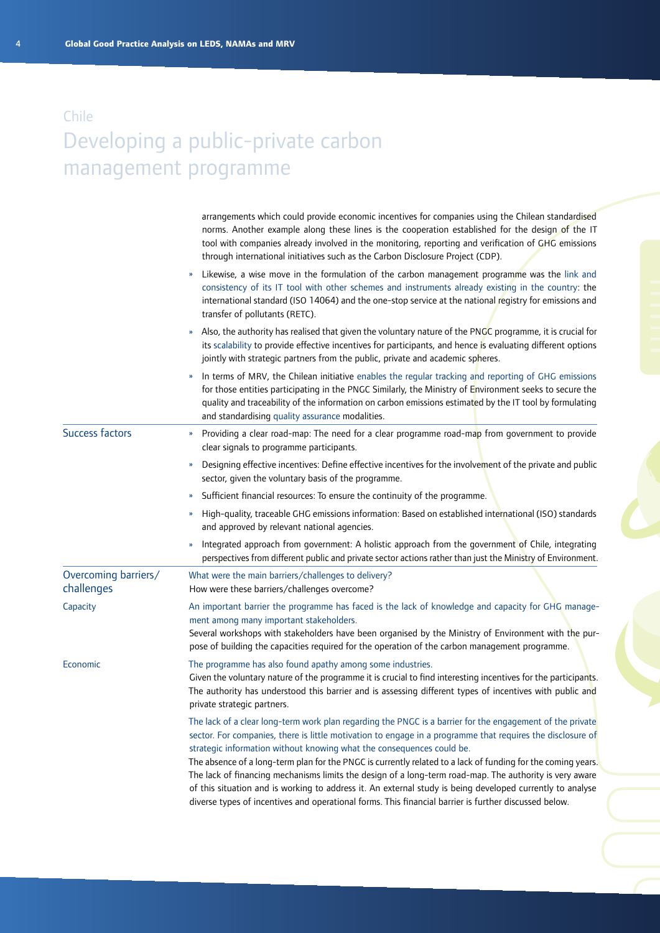|                                    | arrangements which could provide economic incentives for companies using the Chilean standardised<br>norms. Another example along these lines is the cooperation established for the design of the IT<br>tool with companies already involved in the monitoring, reporting and verification of GHG emissions<br>through international initiatives such as the Carbon Disclosure Project (CDP).                                                                                                                                                                                                                                                                                                                                                    |  |
|------------------------------------|---------------------------------------------------------------------------------------------------------------------------------------------------------------------------------------------------------------------------------------------------------------------------------------------------------------------------------------------------------------------------------------------------------------------------------------------------------------------------------------------------------------------------------------------------------------------------------------------------------------------------------------------------------------------------------------------------------------------------------------------------|--|
|                                    | Likewise, a wise move in the formulation of the carbon management programme was the link and<br>consistency of its IT tool with other schemes and instruments already existing in the country: the<br>international standard (ISO 14064) and the one-stop service at the national registry for emissions and<br>transfer of pollutants (RETC).                                                                                                                                                                                                                                                                                                                                                                                                    |  |
|                                    | Also, the authority has realised that given the voluntary nature of the PNGC programme, it is crucial for<br>its scalability to provide effective incentives for participants, and hence is evaluating different options<br>jointly with strategic partners from the public, private and academic spheres.                                                                                                                                                                                                                                                                                                                                                                                                                                        |  |
|                                    | In terms of MRV, the Chilean initiative enables the regular tracking and reporting of GHG emissions<br>$\gamma$<br>for those entities participating in the PNGC Similarly, the Ministry of Environment seeks to secure the<br>quality and traceability of the information on carbon emissions estimated by the IT tool by formulating<br>and standardising quality assurance modalities.                                                                                                                                                                                                                                                                                                                                                          |  |
| <b>Success factors</b>             | Providing a clear road-map: The need for a clear programme road-map from government to provide<br>»<br>clear signals to programme participants.                                                                                                                                                                                                                                                                                                                                                                                                                                                                                                                                                                                                   |  |
|                                    | Designing effective incentives: Define effective incentives for the involvement of the private and public<br>$\boldsymbol{\mathcal{Y}}$<br>sector, given the voluntary basis of the programme.                                                                                                                                                                                                                                                                                                                                                                                                                                                                                                                                                    |  |
|                                    | Sufficient financial resources: To ensure the continuity of the programme.<br>$\boldsymbol{\nu}$                                                                                                                                                                                                                                                                                                                                                                                                                                                                                                                                                                                                                                                  |  |
|                                    | High-quality, traceable GHG emissions information: Based on established international (ISO) standards<br>»<br>and approved by relevant national agencies.                                                                                                                                                                                                                                                                                                                                                                                                                                                                                                                                                                                         |  |
|                                    | Integrated approach from government: A holistic approach from the government of Chile, integrating<br>»<br>perspectives from different public and private sector actions rather than just the Ministry of Environment.                                                                                                                                                                                                                                                                                                                                                                                                                                                                                                                            |  |
| Overcoming barriers/<br>challenges | What were the main barriers/challenges to delivery?<br>How were these barriers/challenges overcome?                                                                                                                                                                                                                                                                                                                                                                                                                                                                                                                                                                                                                                               |  |
| Capacity                           | An important barrier the programme has faced is the lack of knowledge and capacity for GHG manage-<br>ment among many important stakeholders.<br>Several workshops with stakeholders have been organised by the Ministry of Environment with the pur-<br>pose of building the capacities required for the operation of the carbon management programme.                                                                                                                                                                                                                                                                                                                                                                                           |  |
| Economic                           | The programme has also found apathy among some industries.<br>Given the voluntary nature of the programme it is crucial to find interesting incentives for the participants.<br>The authority has understood this barrier and is assessing different types of incentives with public and<br>private strategic partners.                                                                                                                                                                                                                                                                                                                                                                                                                           |  |
|                                    | The lack of a clear long-term work plan regarding the PNGC is a barrier for the engagement of the private<br>sector. For companies, there is little motivation to engage in a programme that requires the disclosure of<br>strategic information without knowing what the consequences could be.<br>The absence of a long-term plan for the PNGC is currently related to a lack of funding for the coming years.<br>The lack of financing mechanisms limits the design of a long-term road-map. The authority is very aware<br>of this situation and is working to address it. An external study is being developed currently to analyse<br>diverse types of incentives and operational forms. This financial barrier is further discussed below. |  |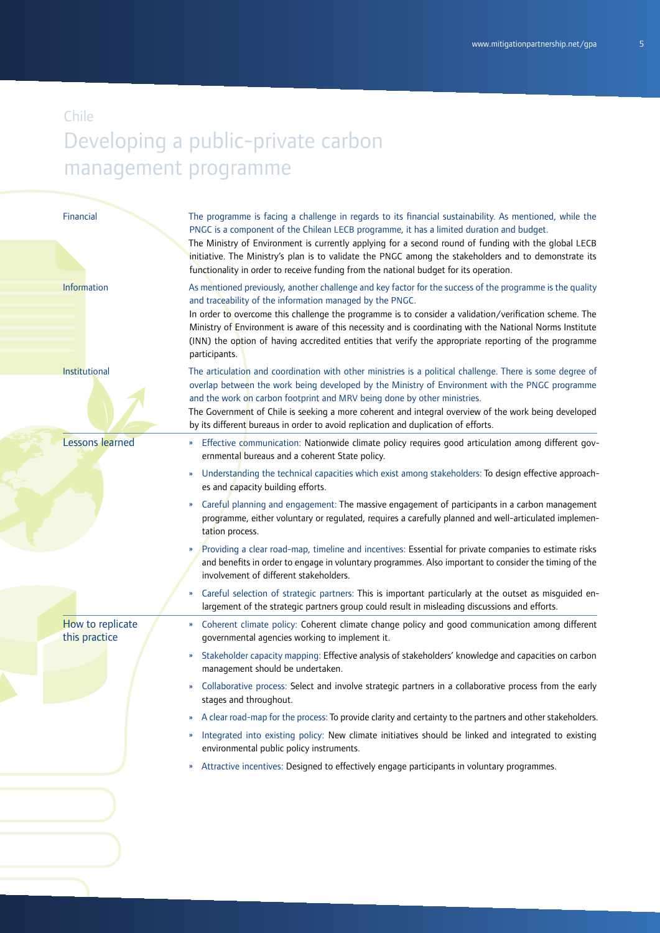#### Financial

Information

Institutional

Lessons learned

The programme is facing a challenge in regards to its financial sustainability. As mentioned, while the PNGC is a component of the Chilean LECB programme, it has a limited duration and budget.

The Ministry of Environment is currently applying for a second round of funding with the global LECB initiative. The Ministry's plan is to validate the PNGC among the stakeholders and to demonstrate its functionality in order to receive funding from the national budget for its operation.

As mentioned previously, another challenge and key factor for the success of the programme is the quality and traceability of the information managed by the PNGC.

In order to overcome this challenge the programme is to consider a validation/verification scheme. The Ministry of Environment is aware of this necessity and is coordinating with the National Norms Institute (INN) the option of having accredited entities that verify the appropriate reporting of the programme participants.

The articulation and coordination with other ministries is a political challenge. There is some degree of overlap between the work being developed by the Ministry of Environment with the PNGC programme and the work on carbon footprint and MRV being done by other ministries.

The Government of Chile is seeking a more coherent and integral overview of the work being developed by its different bureaus in order to avoid replication and duplication of efforts.

- » Effective communication: Nationwide climate policy requires good articulation among different governmental bureaus and a coherent State policy.
- » Understanding the technical capacities which exist among stakeholders: To design effective approaches and capacity building efforts.
- » Careful planning and engagement: The massive engagement of participants in a carbon management programme, either voluntary or regulated, requires a carefully planned and well-articulated implementation process.
- » Providing a clear road-map, timeline and incentives: Essential for private companies to estimate risks and benefits in order to engage in voluntary programmes. Also important to consider the timing of the involvement of different stakeholders.
- » Careful selection of strategic partners: This is important particularly at the outset as misguided enlargement of the strategic partners group could result in misleading discussions and efforts.

How to replicate this practice

- » Coherent climate policy: Coherent climate change policy and good communication among different governmental agencies working to implement it.
- » Stakeholder capacity mapping: Effective analysis of stakeholders' knowledge and capacities on carbon management should be undertaken.
- » Collaborative process: Select and involve strategic partners in a collaborative process from the early stages and throughout.
- » A clear road-map for the process: To provide clarity and certainty to the partners and other stakeholders.
- » Integrated into existing policy: New climate initiatives should be linked and integrated to existing environmental public policy instruments.
- » Attractive incentives: Designed to effectively engage participants in voluntary programmes.